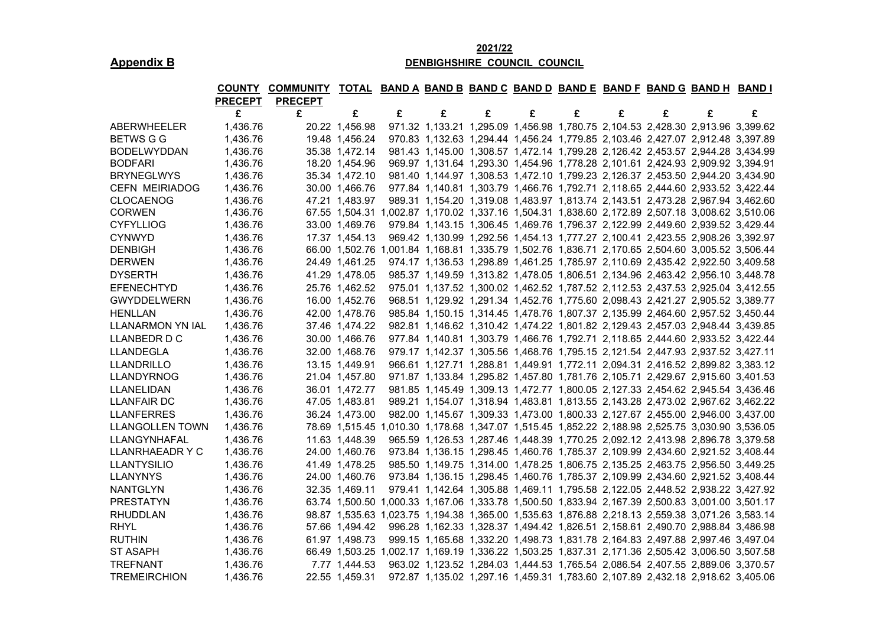## **2021/22 Appendix B DENBIGHSHIRE COUNCIL COUNCIL**

|                         |                |                | COUNTY COMMUNITY TOTAL BAND A BAND B BAND C BAND D BAND E BAND F BAND G BAND H BAND I |                                                                                                 |   |   |   |   |   |   |                                                                                |   |
|-------------------------|----------------|----------------|---------------------------------------------------------------------------------------|-------------------------------------------------------------------------------------------------|---|---|---|---|---|---|--------------------------------------------------------------------------------|---|
|                         | <b>PRECEPT</b> | <b>PRECEPT</b> |                                                                                       |                                                                                                 |   |   |   |   |   |   |                                                                                |   |
|                         | £              | £              | £                                                                                     | £                                                                                               | £ | £ | £ | £ | £ | £ | £                                                                              | £ |
| ABERWHEELER             | 1,436.76       |                | 20.22 1,456.98                                                                        |                                                                                                 |   |   |   |   |   |   | 971.32 1,133.21 1,295.09 1,456.98 1,780.75 2,104.53 2,428.30 2,913.96 3,399.62 |   |
| <b>BETWS G G</b>        | 1,436.76       |                | 19.48 1,456.24                                                                        |                                                                                                 |   |   |   |   |   |   | 970.83 1,132.63 1,294.44 1,456.24 1,779.85 2,103.46 2,427.07 2,912.48 3,397.89 |   |
| <b>BODELWYDDAN</b>      | 1,436.76       |                | 35.38 1,472.14                                                                        |                                                                                                 |   |   |   |   |   |   | 981.43 1,145.00 1,308.57 1,472.14 1,799.28 2,126.42 2,453.57 2,944.28 3,434.99 |   |
| <b>BODFARI</b>          | 1,436.76       |                | 18.20 1,454.96                                                                        |                                                                                                 |   |   |   |   |   |   | 969.97 1,131.64 1,293.30 1,454.96 1,778.28 2,101.61 2,424.93 2,909.92 3,394.91 |   |
| <b>BRYNEGLWYS</b>       | 1,436.76       |                | 35.34 1,472.10                                                                        |                                                                                                 |   |   |   |   |   |   | 981.40 1,144.97 1,308.53 1,472.10 1,799.23 2,126.37 2,453.50 2,944.20 3,434.90 |   |
| <b>CEFN MEIRIADOG</b>   | 1,436.76       |                | 30.00 1,466.76                                                                        |                                                                                                 |   |   |   |   |   |   | 977.84 1,140.81 1,303.79 1,466.76 1,792.71 2,118.65 2,444.60 2,933.52 3,422.44 |   |
| <b>CLOCAENOG</b>        | 1,436.76       |                | 47.21 1,483.97                                                                        |                                                                                                 |   |   |   |   |   |   | 989.31 1,154.20 1,319.08 1,483.97 1,813.74 2,143.51 2,473.28 2,967.94 3,462.60 |   |
| <b>CORWEN</b>           | 1,436.76       |                |                                                                                       | 67.55 1,504.31 1,002.87 1,170.02 1,337.16 1,504.31 1,838.60 2,172.89 2,507.18 3,008.62 3,510.06 |   |   |   |   |   |   |                                                                                |   |
| <b>CYFYLLIOG</b>        | 1,436.76       |                | 33.00 1,469.76                                                                        |                                                                                                 |   |   |   |   |   |   | 979.84 1,143.15 1,306.45 1,469.76 1,796.37 2,122.99 2,449.60 2,939.52 3,429.44 |   |
| <b>CYNWYD</b>           | 1,436.76       |                | 17.37 1,454.13                                                                        |                                                                                                 |   |   |   |   |   |   | 969.42 1,130.99 1,292.56 1,454.13 1,777.27 2,100.41 2,423.55 2,908.26 3,392.97 |   |
| <b>DENBIGH</b>          | 1,436.76       |                |                                                                                       | 66.00 1,502.76 1,001.84 1,168.81 1,335.79 1,502.76 1,836.71 2,170.65 2,504.60 3,005.52 3,506.44 |   |   |   |   |   |   |                                                                                |   |
| <b>DERWEN</b>           | 1,436.76       |                | 24.49 1,461.25                                                                        |                                                                                                 |   |   |   |   |   |   | 974.17 1,136.53 1,298.89 1,461.25 1,785.97 2,110.69 2,435.42 2,922.50 3,409.58 |   |
| <b>DYSERTH</b>          | 1,436.76       |                | 41.29 1,478.05                                                                        |                                                                                                 |   |   |   |   |   |   | 985.37 1,149.59 1,313.82 1,478.05 1,806.51 2,134.96 2,463.42 2,956.10 3,448.78 |   |
| EFENECHTYD              | 1,436.76       |                | 25.76 1,462.52                                                                        |                                                                                                 |   |   |   |   |   |   | 975.01 1,137.52 1,300.02 1,462.52 1,787.52 2,112.53 2,437.53 2,925.04 3,412.55 |   |
| <b>GWYDDELWERN</b>      | 1,436.76       |                | 16.00 1,452.76                                                                        |                                                                                                 |   |   |   |   |   |   | 968.51 1,129.92 1,291.34 1,452.76 1,775.60 2,098.43 2,421.27 2,905.52 3,389.77 |   |
| <b>HENLLAN</b>          | 1,436.76       |                | 42.00 1,478.76                                                                        |                                                                                                 |   |   |   |   |   |   | 985.84 1,150.15 1,314.45 1,478.76 1,807.37 2,135.99 2,464.60 2,957.52 3,450.44 |   |
| <b>LLANARMON YN IAL</b> | 1,436.76       |                | 37.46 1,474.22                                                                        |                                                                                                 |   |   |   |   |   |   | 982.81 1,146.62 1,310.42 1,474.22 1,801.82 2,129.43 2,457.03 2,948.44 3,439.85 |   |
| <b>LLANBEDR D C</b>     | 1,436.76       |                | 30.00 1,466.76                                                                        |                                                                                                 |   |   |   |   |   |   | 977.84 1,140.81 1,303.79 1,466.76 1,792.71 2,118.65 2,444.60 2,933.52 3,422.44 |   |
| LLANDEGLA               | 1,436.76       |                | 32.00 1,468.76                                                                        |                                                                                                 |   |   |   |   |   |   | 979.17 1,142.37 1,305.56 1,468.76 1,795.15 2,121.54 2,447.93 2,937.52 3,427.11 |   |
| <b>LLANDRILLO</b>       | 1,436.76       |                | 13.15 1,449.91                                                                        |                                                                                                 |   |   |   |   |   |   | 966.61 1,127.71 1,288.81 1,449.91 1,772.11 2,094.31 2,416.52 2,899.82 3,383.12 |   |
| <b>LLANDYRNOG</b>       | 1,436.76       |                | 21.04 1,457.80                                                                        |                                                                                                 |   |   |   |   |   |   | 971.87 1,133.84 1,295.82 1,457.80 1,781.76 2,105.71 2,429.67 2,915.60 3,401.53 |   |
| LLANELIDAN              | 1,436.76       |                | 36.01 1,472.77                                                                        |                                                                                                 |   |   |   |   |   |   | 981.85 1,145.49 1,309.13 1,472.77 1,800.05 2,127.33 2,454.62 2,945.54 3,436.46 |   |
| <b>LLANFAIR DC</b>      | 1,436.76       |                | 47.05 1,483.81                                                                        |                                                                                                 |   |   |   |   |   |   | 989.21 1,154.07 1,318.94 1,483.81 1,813.55 2,143.28 2,473.02 2,967.62 3,462.22 |   |
| <b>LLANFERRES</b>       | 1,436.76       |                | 36.24 1,473.00                                                                        |                                                                                                 |   |   |   |   |   |   | 982.00 1,145.67 1,309.33 1,473.00 1,800.33 2,127.67 2,455.00 2,946.00 3,437.00 |   |
| <b>LLANGOLLEN TOWN</b>  | 1,436.76       |                |                                                                                       | 78.69 1,515.45 1,010.30 1,178.68 1,347.07 1,515.45 1,852.22 2,188.98 2,525.75 3,030.90 3,536.05 |   |   |   |   |   |   |                                                                                |   |
| LLANGYNHAFAL            | 1,436.76       |                | 11.63 1,448.39                                                                        |                                                                                                 |   |   |   |   |   |   | 965.59 1,126.53 1,287.46 1,448.39 1,770.25 2,092.12 2,413.98 2,896.78 3,379.58 |   |
| LLANRHAEADR Y C         | 1,436.76       |                | 24.00 1,460.76                                                                        |                                                                                                 |   |   |   |   |   |   | 973.84 1,136.15 1,298.45 1,460.76 1,785.37 2,109.99 2,434.60 2,921.52 3,408.44 |   |
| <b>LLANTYSILIO</b>      | 1,436.76       |                | 41.49 1,478.25                                                                        |                                                                                                 |   |   |   |   |   |   | 985.50 1,149.75 1,314.00 1,478.25 1,806.75 2,135.25 2,463.75 2,956.50 3,449.25 |   |
| <b>LLANYNYS</b>         | 1,436.76       |                | 24.00 1,460.76                                                                        |                                                                                                 |   |   |   |   |   |   | 973.84 1,136.15 1,298.45 1,460.76 1,785.37 2,109.99 2,434.60 2,921.52 3,408.44 |   |
| <b>NANTGLYN</b>         | 1,436.76       |                | 32.35 1,469.11                                                                        |                                                                                                 |   |   |   |   |   |   | 979.41 1,142.64 1,305.88 1,469.11 1,795.58 2,122.05 2,448.52 2,938.22 3,427.92 |   |
| <b>PRESTATYN</b>        | 1,436.76       |                |                                                                                       | 63.74 1,500.50 1,000.33 1,167.06 1,333.78 1,500.50 1,833.94 2,167.39 2,500.83 3,001.00 3,501.17 |   |   |   |   |   |   |                                                                                |   |
| <b>RHUDDLAN</b>         | 1,436.76       |                |                                                                                       | 98.87 1,535.63 1,023.75 1,194.38 1,365.00 1,535.63 1,876.88 2,218.13 2,559.38 3,071.26 3,583.14 |   |   |   |   |   |   |                                                                                |   |
| <b>RHYL</b>             | 1,436.76       |                | 57.66 1,494.42                                                                        |                                                                                                 |   |   |   |   |   |   | 996.28 1,162.33 1,328.37 1,494.42 1,826.51 2,158.61 2,490.70 2,988.84 3,486.98 |   |
| <b>RUTHIN</b>           | 1,436.76       |                | 61.97 1,498.73                                                                        |                                                                                                 |   |   |   |   |   |   | 999.15 1,165.68 1,332.20 1,498.73 1,831.78 2,164.83 2,497.88 2,997.46 3,497.04 |   |
| <b>ST ASAPH</b>         | 1,436.76       |                |                                                                                       | 66.49 1,503.25 1,002.17 1,169.19 1,336.22 1,503.25 1,837.31 2,171.36 2,505.42 3,006.50 3,507.58 |   |   |   |   |   |   |                                                                                |   |
| <b>TREFNANT</b>         | 1,436.76       |                | 7.77 1,444.53                                                                         |                                                                                                 |   |   |   |   |   |   | 963.02 1,123.52 1,284.03 1,444.53 1,765.54 2,086.54 2,407.55 2,889.06 3,370.57 |   |
| <b>TREMEIRCHION</b>     | 1,436.76       |                | 22.55 1,459.31                                                                        |                                                                                                 |   |   |   |   |   |   | 972.87 1,135.02 1,297.16 1,459.31 1,783.60 2,107.89 2,432.18 2,918.62 3,405.06 |   |